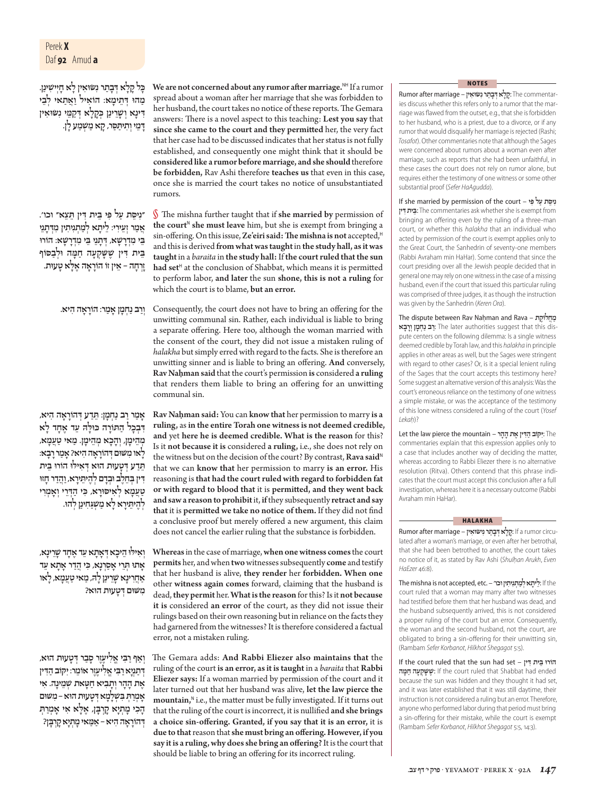Perek **X** Daf **92** Amud **a**

**ּכל ָקָלא ְ ּדָבַתר ִנּ ׂשּו ִאין ָלא ָחְי ׁ ִ יש ַינן. ָ ַמ ּהו ְ ּדֵת ָימא: ִהוֹאיל ַוֲאַתאי ְלֵבי ּכָקָלא ְ ּדַק ֵּמי ִנּ ׂשּו ִאין ִ ּד ָינא ְו ָׁשֵר ַינן ְ ָּדֵמי ְו ִת ַּיתַּסר, ָקא ַמׁ ְשַמע ָלן.**

**ִ״נ ֵּיסת ַעל ִּפי ֵּבית ִ ּדין ֵּתֵצא״ וכו׳. ֲאַמר ְזֵע ִירי: ֵל ָיתא ְלַמ ְתִנ ִיתין ִמְ ּדָתֵני ֵּבי ִמְדָרָׁשא, ְ ּדָתֵני ֵּבי ִמְדָרָׁשא: ּ הוֹרו ֵּבית ִ ּדין ֶׁשָּׁשְקָעה ַח ָּמה ּו ְלַב ּסוֹף ָזְרָחה – ֵאין זוֹ ָהוֹרָאה ֶאָּלא ָט ּעות.**

**ְוַרב ַנ ְחָמן ָאַמר: ָהוֹרָאה ִהיא.**

**ָאַמרַרב ַנ ְחָמן: ֵּתַדע ְ ּד ָהוֹרָאה ִהיא, ִ ּד ְבָכל ַה ּתָוֹרה ּכּוָּל ּה ֵעד ֶאָחד ָלא ְמֵה ָימן, ְוָהָכא ְמֵה ָימן. ַמאי ַטֲעָמא, ָלאו ִמּׁשּום ְ ּד ָהוֹרָאה ִהיא? ָאַמרָרָבא: ֵּתַדע ְ ּדָט ּעות ּהוא ְ ּד ִא ּילּו ּ הוֹרו ֵּבית ִ ּדין ְּבֵחֶלב ּוְבָדם ְלֶה ֵּיתָירא, ַוֲהַדר ָח ּזו ּכי ַהְ ּדֵרי ְוָא ְמִרי ַטֲעָמא ְל ִא ּיסּוָרא, ִ ְלֶה ֵּיתָירא ָלא ַמׁ ְשַּג ִח ַינן ְל ּהו.**

**ְו ִא ּילּו ֵה ָיכא ְ ּדָאָתא ֵעד ֶאָחד ָׁשֵרָינא, ּכי ֲהַדר ָאָתא ֵעד ָא ּתו ְּתֵרי ָאַסְרָנא, ִ ַאֲחִרָינא ָׁשֵר ַינן ָל ּה, ַמאי ַטֲעָמא, ָלאו ִמּׁשּום ְ ּדָט ּעות ּהוא?**

**ְוַאף ַרִּבי ֱאִל ֶיעֶזר ָסַבר ְ ּדָט ּעות ּהוא, ְ ּדַתְנָיאַרִּביֱאִל ֶיעֶזר ֵאוֹמר: ִי ּקוֹב ַהִ ּדין ֶאת ָהָהר ְוָת ִביא ַח ָּטאת ׁ ְשֵמ ָינה. ִאי ָא ְמַרְּת ִּבׁ ְשָלָמא ְ ּדָט ּעות ּהוא – ִמּׁשּום ָה ִכי ָמ ְתָיא ָקְרָּבן, ֶאָּלא ִאי ָא ְמַרְּת ְ ּד ָהוֹרָאה ִהיא – ַא ַּמאי ָמ ְתָיאָקְרָּבן?**

We are not concerned about any rumor after marriage.<sup>NH</sup> If a rumor spread about a woman after her marriage that she was forbidden to her husband, the court takes no notice of these reports. The Gemara answers: There is a novel aspect to this teaching: Lest you say that since she came to the court and they permitted her, the very fact that her case had to be discussed indicates that her status is not fully established, and consequently one might think that it should be **considered like a rumor before marriage, and she should** therefore **be forbidden,** Rav Ashi therefore **teaches us** that even in this case, once she is married the court takes no notice of unsubstantiated rumors.

§ The mishna further taught that if **she married by** permission of the court<sup>N</sup> she must leave him, but she is exempt from bringing a sin-offering. On this issue, Ze'eiri said: The mishna is not accepted,<sup>H</sup> and this is derived **from what was taught** in **the study hall, as it was taught** in a *baraita* in **the study hall:** If **the court ruled that the sun**  had set<sup>H</sup> at the conclusion of Shabbat, which means it is permitted to perform labor, **and later** the sun **shone, this is not a ruling** for which the court is to blame, **but an error.**

Consequently, the court does not have to bring an offering for the unwitting communal sin. Rather, each individual is liable to bring a separate offering. Here too, although the woman married with the consent of the court, they did not issue a mistaken ruling of *halakha* but simply erred with regard to the facts. She is therefore an unwitting sinner and is liable to bring an offering. And conversely, **Rav Naĥman said** that the court's permission **is** considered **a ruling**  that renders them liable to bring an offering for an unwitting communal sin.

**Rav Naĥman said:** You can **know that** her permission to marry **is a ruling,** as **in the entire Torah one witness is not deemed credible, and** yet **here he is deemed credible. What is the reason** for this? Is it **not because it is** considered **a ruling,** i.e., she does not rely on the witness but on the decision of the court? By contrast, Rava said<sup>N</sup> that we can **know that** her permission to marry **is an error.** His reasoning is **that had the court ruled with regard to forbidden fat or with regard to blood that** it is **permitt ed, and they went back and saw a reason to prohibit** it, **if** they subsequently **retract and say**  that it is permitted we take no notice of them. If they did not find a conclusive proof but merely offered a new argument, this claim does not cancel the earlier ruling that the substance is forbidden.

**Whereas** in the case of marriage, **when one witness comes** the court **permits** her, and when **two** witnesses subsequently **come** and testify that her husband is alive, **they render** her **forbidden. When one**  other **witness again comes** forward, claiming that the husband is dead, **they permit** her. **What is the reason** for this? Is it **not because it is** considered **an error** of the court, as they did not issue their rulings based on their own reasoning but in reliance on the facts they had garnered from the witnesses? It is therefore considered a factual error, not a mistaken ruling.

The Gemara adds: And Rabbi Eliezer also maintains that the ruling of the court **is an error, as it is taught** in a *baraita* that **Rabbi Eliezer says:** If a woman married by permission of the court and it later turned out that her husband was alive, **let the law pierce the**  mountain,<sup>N</sup> i.e., the matter must be fully investigated. If it turns out that the ruling of the court is incorrect, it is nullified and she brings **a choice sin-off ering. Granted, if you say that it is an error,** it is **due to that** reason that**she must bring an off ering. However, if you say it is a ruling, why does she bring an off ering?** It is the court that should be liable to bring an offering for its incorrect ruling.

**NOTES**

 Rumor after marriage – **איןִ וּשׂ ּנִ תרַבָדּ ְ לאָקָ**: The commentaries discuss whether this refers only to a rumor that the marriage was flawed from the outset, e.g., that she is forbidden to her husband, who is a priest, due to a divorce, or if any rumor that would disqualify her marriage is rejected (Rashi; *Tosafot*). Other commentaries note that although the Sages were concerned about rumors about a woman even after marriage, such as reports that she had been unfaithful, in these cases the court does not rely on rumor alone, but requires either the testimony of one witness or some other substantial proof (*Sefer HaAgudda*).

 If she married by permission of the court – **פיִּ עלַ יסתֵּ נִ דיןּ ִ ביתֵּ**: The commentaries ask whether she is exempt from bringing an offering even by the ruling of a three-man court, or whether this *halakha* that an individual who acted by permission of the court is exempt applies only to the Great Court, the Sanhedrin of seventy-one members (Rabbi Avraham min HaHar). Some contend that since the court presiding over all the Jewish people decided that in general one may rely on one witness in the case of a missing husband, even if the court that issued this particular ruling was comprised of three judges, it as though the instruction was given by the Sanhedrin (*Keren Ora*).

 The dispute between Rav Naĥman and Rava – **לוֹקתֶ חֲמַ באָרָוְ מןָחְ נַ רבַ**: The later authorities suggest that this dispute centers on the following dilemma: Is a single witness deemed credible by Torah law, and this *halakha* in principle applies in other areas as well, but the Sages were stringent with regard to other cases? Or, is it a special lenient ruling of the Sages that the court accepts this testimony here? Some suggest an alternative version of this analysis: Was the court's erroneous reliance on the testimony of one witness a simple mistake, or was the acceptance of the testimony of this lone witness considered a ruling of the court (*Yosef Lekaĥ*)?

 The **ִ**:**יּ ּקוֹב ַהִ ּדין ֶאת ָהָהר** – mountain the pierce law the Let commentaries explain that this expression applies only to a case that includes another way of deciding the matter, whereas according to Rabbi Eliezer there is no alternative resolution (Ritva). Others contend that this phrase indicates that the court must accept this conclusion after a full investigation, whereas here it is a necessary outcome (Rabbi Avraham min HaHar).

### **HALAKHA**

 Rumor after marriage – **איןִ וּיש ׂ ּ נִ תרַבָדּ ְ לאָקָ**: If a rumor circulated after a woman's marriage, or even after her betrothal, that she had been betrothed to another, the court takes no notice of it, as stated by Rav Ashi (*Shulĥan Arukh*, *Even HaEzer* 46:8).

 the If **ֵ**:**ל ָיתא ְלַמ ְתִנ ִיתין וכו׳** – .etc ,accepted not is mishna The court ruled that a woman may marry after two witnesses had testified before them that her husband was dead, and the husband subsequently arrived, this is not considered a proper ruling of the court but an error. Consequently, the woman and the second husband, not the court, are obligated to bring a sin-offering for their unwitting sin, (Rambam *Sefer Korbanot*, *Hilkhot Shegagot* 5:5).

 If the court ruled that the sun had set – **דיןּ ִ ביתֵּ הוֹרו ּ מהָּ חַ עהָקְשָּׁשֶׁ** : If the court ruled that Shabbat had ended because the sun was hidden and they thought it had set, and it was later established that it was still daytime, their instruction is not considered a ruling but an error. Therefore, anyone who performed labor during that period must bring a sin-offering for their mistake, while the court is exempt (Rambam *Sefer Korbanot*, *Hilkhot Shegagot* 5:5, 14:3).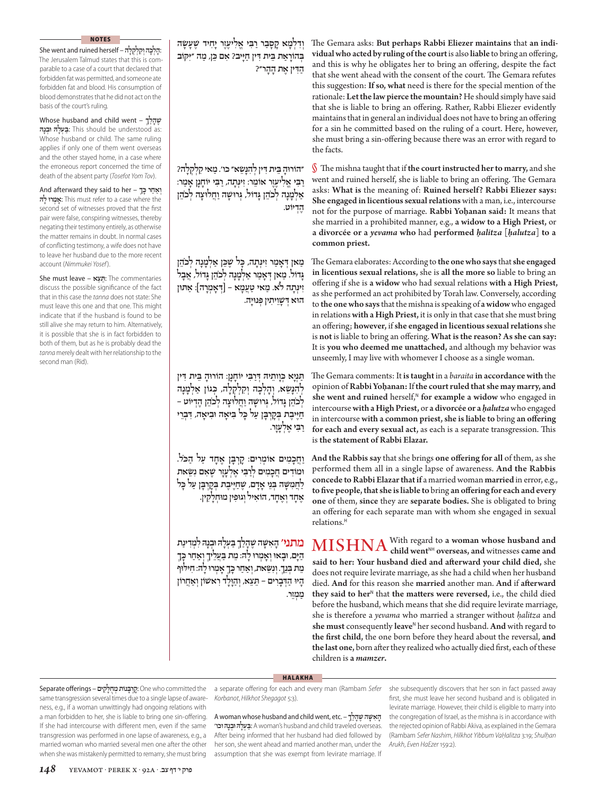**NOTES**

**:הֵלְכַהּ וְקִלְקְלֵה – She went and ruined herself** The Jerusalem Talmud states that this is comparable to a case of a court that declared that forbidden fat was permitted, and someone ate forbidden fat and blood. His consumption of blood demonstrates that he did not act on the basis of the court's ruling.

 Whose husband and child went – **ךְ לַהָשֶׁ** :as understood be should This **ַּ**:**ב ְעָל ּה ּוְבָנ ּה** Whose husband or child. The same ruling applies if only one of them went overseas and the other stayed home, in a case where the erroneous report concerned the time of death of the absent party (*Tosefot Yom Tov*).

 And afterward they said to her – **ךְ כָּ חרַאַוְ הּ לָ רוּ מְ אָ**: This must refer to a case where the second set of witnesses proved that the first pair were false, conspiring witnesses, thereby negating their testimony entirely, as otherwise the matter remains in doubt. In normal cases of conflicting testimony, a wife does not have to leave her husband due to the more recent account (*Nimmukei Yosef* ).

 She must leave – **צאֵתֵּ** : The commentaries discuss the possible significance of the fact that in this case the *tanna* does not state: She must leave this one and that one. This might indicate that if the husband is found to be still alive she may return to him. Alternatively, it is possible that she is in fact forbidden to both of them, but as he is probably dead the *tanna* merely dealt with her relationship to the second man (Rid).

**ְוִד ְלָמא ָקָסַבר ַרִּבי ֱאִל ֶיעֶזר ָי ִחיד ֶׁשָע ָׂשה ּכן, ַמה ִ״יּ ּקוֹב ְּב ָהוֹרַאת ֵּבית ִ ּדין ַחָיּיב? ִאם ֵ ַהִ ּדין ֶאת ָהָהר״?**

**ּ ״הוֹרוָה ֵּבית ִ ּדין ְל ִהָּנֵׂשא״ כו׳. ַמאי ִקְל ְקָלה? ּינָתה, ַרִּבי ָ יוֹחָנן ָאַמר: ַרִּבי ֱאִל ֶיעֶזר ֵאוֹמר: ִז ְ ַאְלָמָנה ְלכֵֹהן ָּגדוֹל, ְּג ּרו ָׁשה ַוֲח ּלוָצה ְלכֵֹהן ֶהְדיוֹט.** 

**ּכן ַאְלָמָנה ְלכֵֹהן ּכל ֶׁשֵ ּינָתה, ָ ַמאן ְ ּדָאַמר ִז ְ ָּגדוֹל. ַמאן ְ ּדָאַמר ַאְלָמָנה ְלכֵֹהן ָּגדוֹל, ֲאָבל ּינָתה לֹא. ַמאי ַטֲעָמא – [ְ ּדָא ְמָרה]: ַא ּתּון ִז ְ ּהוא ְ ּד ָׁשֵו ִיתין ְּפ ּנוָיה.**

**ּכָו ֵות ּיה ְ ּדַרִּבי ָ יוֹחָנן: ּ הוֹרוָה ֵּבית ִ ּדין ַּתְנָיא ְ ּכגוֹן ַא ְלָמָנה ְל ִהָּנֵׂשא, ְוָה ְלָכה ְו ִק ְל ְקָלה, ְ ְלכֵֹהן ָּגדוֹל, ְּג ּרו ָׁשהַוֲח ּלוָצה ְלכֵֹהן ֶהְדיוֹט – ּכל ִּב ָיאה ּוִב ָיאה, ִ ּד ְבֵרי ַחֶיּ ֶיבת ְּבָקְרָּבן ַעל ָ ַרִּבי ֶאְלָעָזר.** 

**ַוֲחָכ ִמים ְאוֹמִרים: ָקְרָּבן ֶאָחד ַעל ַה ּכֹל. ּו ִמוֹדים ֲחָכ ִמים ְלַרִּבי ֶאְלָעָזר ֶׁש ִאם ִנֵּׂשאת ּכל ַלֲח ִמָּׁשה ְּבֵני ָאָדם, ֶׁשַחֶיּ ֶיבת ְּבָקְרָּבן ַעל ָ ֶאָחד ְוֶאָחד, ִהוֹאיל ְו ּגו ִפין ּמו ְחָל ִקין.**

**מתני׳ ָה ִאָּׁשה ֶׁשָהַל ְך ַּב ְעָל ּה ּוְבָנ ּה ִל ְמִד ַינת ּכ ְך ַהָיּם, ּוָב ּאו ְוָא ְמ ּרו ָל ּה: ֵמת ַּבֲעֵל ְיך ְוַאַחר ָ ּכ ְך ָא ְמ ּרו ָל ּה: ִח ּילּוף ֵמת ְּבֵנְך. ְוִנֵּׂשאת, ְוַאַחרָ ָה ּיו ַהְ ּדָבִרים – ֵּתֵצא, ְוַהָּוָלד ִר ׁאשוֹן ְוַאֲחרוֹן ַמ ְמֵזר.**

The Gemara asks: But perhaps Rabbi Eliezer maintains that an individual who acted by ruling of the court is also liable to bring an offering, and this is why he obligates her to bring an offering, despite the fact that she went ahead with the consent of the court. The Gemara refutes this suggestion: **If so, what** need is there for the special mention of the rationale: **Let the law pierce the mountain?** He should simply have said that she is liable to bring an offering. Rather, Rabbi Eliezer evidently maintains that in general an individual does not have to bring an offering for a sin he committed based on the ruling of a court. Here, however, she must bring a sin-offering because there was an error with regard to the facts.

§ The mishna taught that if the court instructed her to marry, and she went and ruined herself, she is liable to bring an offering. The Gemara asks: **What is** the meaning of: **Ruined herself? Rabbi Eliezer says: She engaged in licentious sexual relations** with a man, i.e., intercourse not for the purpose of marriage. **Rabbi Yoĥanan said:** It means that she married in a prohibited manner, e.g., **a widow to a High Priest,** or **a divorcée or a** *yevama* **who** had **performed** *ĥalitza* **[***ĥalutza***] to a common priest.** 

The Gemara elaborates: According to the one who says that she engaged **in licentious sexual relations,** she is **all the more so** liable to bring an offering if she is a widow who had sexual relations with a High Priest, as she performed an act prohibited by Torah law. Conversely, according to **the one who says** that the mishna is speaking of **a widow** who engaged in relations **with a High Priest,** it is only in that case that she must bring an offering; however, if she engaged in licentious sexual relations she is not is liable to bring an offering. What is the reason? As she can say: It is you who deemed me unattached, and although my behavior was unseemly, I may live with whomever I choose as a single woman.

The Gemara comments: It is taught in a *baraita* in accordance with the opinion of**Rabbi Yoĥanan:** If**the court ruled that she may marry, and she went and ruined** herself, <sup>N</sup>**for example a widow** who engaged in intercourse **with a High Priest,** or **a divorcée or a** *ĥalutza*who engaged in intercourse with a common priest, she is liable to bring an offering for each and every sexual act, as each is a separate transgression. This is **the statement of Rabbi Elazar.**

**And the Rabbis say** that she brings **one off ering for all** of them, as she performed them all in a single lapse of awareness. **And the Rabbis concede to Rabbi Elazar that if** a married woman **married** in error, e.g., **to fi ve people, that she is liable to** bring **an off ering for each and every one** of them, **since** they are **separate bodies.** She is obligated to bring an offering for each separate man with whom she engaged in sexual relations.<sup>H</sup>

 $\bf{MISHNA}^{\text{With regard to a woman whose husband and chillo.}$ said to her: Your husband died and afterward your child died, she does not require levirate marriage, as she had a child when her husband died. **And** for this reason she **married** another man. **And** if **aft erward**  they said to her<sup>N</sup> that the matters were reversed, i.e., the child died before the husband, which means that she did require levirate marriage, she is therefore a *yevama* who married a stranger without *ĥalitza* and she must consequently leave<sup>N</sup> her second husband. And with regard to **the fi rst child,** the one born before they heard about the reversal, **and**  the last one, born after they realized who actually died first, each of these children is **a** *mamzer***.**

### **HALAKHA**

 the committed who One **ָ**:**קְרָּבנוֹת ְמֻחָּל ִקים** – offerings Separate same transgression several times due to a single lapse of awareness, e.g., if a woman unwittingly had ongoing relations with a man forbidden to her, she is liable to bring one sin-offering. If she had intercourse with different men, even if the same transgression was performed in one lapse of awareness, e.g., a married woman who married several men one after the other when she was mistakenly permitted to remarry, she must bring

a separate offering for each and every man (Rambam *Sefer Korbanot*, *Hilkhot Shegagot* 5:3).

 A woman whose husband and child went, etc. – **ךְ לַהָשֶׁ שהָּׁאִ הָ** .overseas traveled child and husband s'woman A **ַּ**:**ב ְעָל ּה ּוְבָנ ּה וכו׳** After being informed that her husband had died followed by her son, she went ahead and married another man, under the assumption that she was exempt from levirate marriage. If she subsequently discovers that her son in fact passed away first, she must leave her second husband and is obligated in levirate marriage. However, their child is eligible to marry into the congregation of Israel, as the mishna is in accordance with the rejected opinion of Rabbi Akiva, as explained in the Gemara (Rambam *Sefer Nashim*, *Hilkhot Yibbum VaĤalitza* 3:19; *Shulĥan Arukh*, *Even HaEzer* 159:2).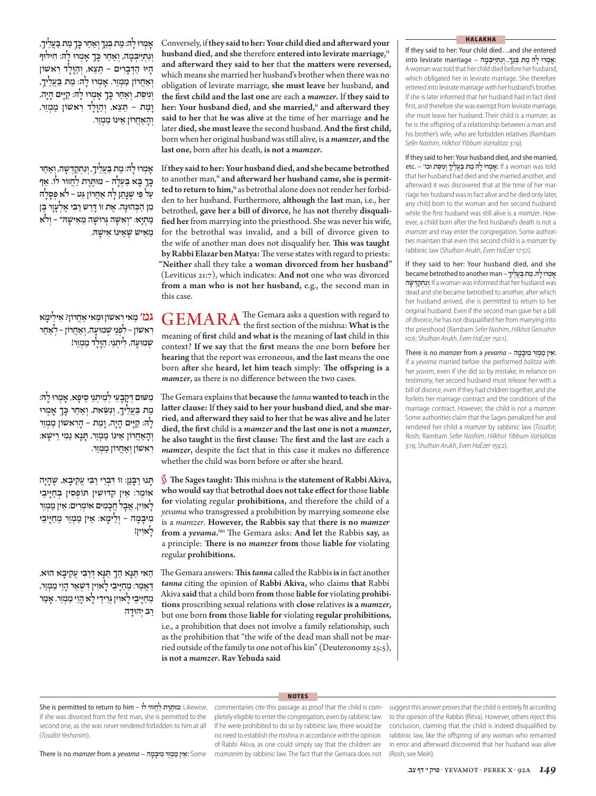which means she married her husband's brother when there was no obligation of levirate marriage, **she must leave** her husband, **and the fi rst child and the last one** are each **a** *mamzer***.** If **they said to**  her: Your husband died, and she married,<sup> $\text{H}$ </sup> and afterward they **said to her** that **he was alive** at the time of her marriage **and he**  later died, she must leave the second husband. And the first child, born when her original husband was still alive, is **a** *mamzer***, and the**  last one, born after his death, is not a *mamzer*. If**they said to her: Your husband died, and she became betrothed** 

Conversely, if they said to her: Your child died and afterward your **husband died, and she** therefore **entered into levirate marriage,**<sup>H</sup> and afterward they said to her that the matters were reversed,

to another man,<sup>H</sup> and afterward her husband came, she is permitted to return to him,<sup>N</sup> as betrothal alone does not render her forbidden to her husband. Furthermore, **although** the **last** man, i.e., her betrothed, **gave her a bill of divorce,** he has **not** thereby **disquali**fied her from marrying into the priesthood. She was never his wife, for the betrothal was invalid, and a bill of divorce given to the wife of another man does not disqualify her. This was taught by Rabbi Elazar ben Matya: The verse states with regard to priests: **"Neither** shall they take **a woman divorced from her husband"**  (Leviticus 21:7), which indicates: And not one who was divorced **from a man who is not her husband,** e.g., the second man in this case.

GEMARA The Gemara asks a question with regard to GEMARA the first section of the mishna: **What is** the meaning of **fi rst** child **and what is** the meaning of **last** child in this context? **If we say** that the **fi rst** means the one born **before** her **hearing** that the report was erroneous, **and** the **last** means the one born **aft er** she **heard, let him teach** simply: **Th e off spring is a**  *mamzer*, as there is no difference between the two cases.

The Gemara explains that **because** the *tanna* wanted to teach in the latter clause: If they said to her your husband died, and she mar**ried, and aft erward they said to her** that **he was alive and he** later **died, the fi rst** child is **a** *mamzer* **and the last one is not a** *mamzer***,**  he also taught in the first clause: The first and the last are each a *mamzer*, despite the fact that in this case it makes no difference whether the child was born before or after she heard.

§ **Th e Sages taught: Th is** mishna is **the statement of Rabbi Akiva, who would say** that **betrothal does not take eff ect for** those **liable for** violating regular **prohibitions,** and therefore the child of a *yevama* who transgressed a prohibition by marrying someone else is a *mamzer*. **However, the Rabbis say** that **there is no** *mamzer* from a *yevama*.<sup>NH</sup> The Gemara asks: And let the Rabbis say, as a principle: **Th ere is no** *mamzer* **from** those **liable for** violating regular **prohibitions.**

The Gemara answers: This *tanna* called the Rabbis is in fact another *tanna* citing the opinion of **Rabbi Akiva,** who claims **that** Rabbi Akiva **said** that a child born **from** those **liable for** violating **prohibitions** proscribing sexual relations with **close** relatives **is a** *mamzer***,**  but one born **from** those **liable for** violating **regular prohibitions,**  i.e., a prohibition that does not involve a family relationship, such as the prohibition that "the wife of the dead man shall not be married outside of the family to one not of his kin" (Deuteronomy 25:5), **is not a** *mamzer***. Rav Yehuda said**

**ּכ ְך ֵמת ַּבֲעֵל ְיך, ָא ְמ ּרו ָל ּה: ֵמת ְּבֵנְך ְוַאַחרָ ּכ ְך ָא ְמ ּרו ָל ּה: ִח ּילּוף ְוִנְתַי ְּיבָמה, ְוַאַחר ָ ָה ּיו ַהְ ּדָבִרים – ֵּתֵצא, ְוַהָּוָלד ִר ׁאשוֹן ְוַאֲחרוֹן ַמ ְמֵזר. ָא ְמ ּרו ָל ּה: ֵמת ַּבֲעֵל ְיך, ּכ ְך ָא ְמ ּרו ָל ּה: ַקָיּים ָהָיה, ְוִנ ֵּיסת, ְוַאַחר ָ ָוֵמת – ֵּתֵצא, ְוַהָּוָלד ִר ׁאשוֹן ַמ ְמֵזר, ְוָהַאֲחרוֹן ֵאינוֹ ַמ ְמֵזר.**

**ָא ְמ ּרו ָל ּה: ֵמת ַּבֲעֵל ְיך, ְוִנְתַקְ ּד ָׁשה, ְוַאַחר ּכ ְך ָּבא ַּב ְעָל ּה – ּמו ֶּתֶרת ַלֲחזוֹר לוֹ. ַאף ָ ַעל ִּפי ֶׁשָּנַתן ָל ּה ַאֲחרוֹן ֵּגט – לֹא ְּפָסָל ּה ּכ ּהוָּנה. ֶאת זוָֹּדַרׁשַרִּבי ֶאְלָעָזר ֶּבן ִמן ַה ְ ַמ ְתָיא: ְ״ו ִאָּׁשה ְּג ּרו ָׁשה ֵמ ִא ָׁ יש ּה״ – ְולֹא ֵמ ִא ׁיש ֶׁשֵאינוֹ ִא ָׁ יש ּה.**

**גמ׳ ַמאי ִר ׁאשוֹן ּוַמאי ַאֲחרוֹן? ִא ֵיל ָימא ִר ׁאשוֹן – ִל ְפֵני ׁ ְש ּמוָעה, ְוַאֲחרוֹן – ְלַאַחר ׁ ְש ּמוָעה, ִל ְיתֵני: ַהָּוָלד ַמ ְמֵזר!** 

**ִמּׁשּום ְ ּדָקָבֵעי ְל ִמ ְיתֵני ֵס ָיפא, ָא ְמ ּרו ָל ּה: ּכ ְך ָא ְמ ּרו ֵמת ַּבֲעֵל ְיך, ְוִנֵּׂשאת. ְוַאַחר ָ ָל ּה: ַקָיּים ָהָיה, ָוֵמת – ָהִר ׁאשוֹן ַמ ְמֵזר ְוָהַאֲחרוֹן ֵאינוֹ ַמ ְמֵזר, ָּתָנא ַנ ִמיֵר ָׁ ישא: ִר ׁאשוֹן ְוַאֲחרוֹן ַמ ְמֵזר.**

**ָּת ּנו ַרָּבַנן: זוֹ ִ ּד ְבֵרי ַרִּבי ֲע ִק ָיבא, ֶׁשָהָיה ֵאוֹמר: ֵאין ִק ּד ּו ׁ ִשין ּת ְוֹפ ִסין ְּבַחָיּ ֵיבי ָל ִאוין, ֲאָבל ֲחָכ ִמים ְאוֹמִרים: ֵאין ַמ ְמֵזר ִמ ָיבָמה – ְוֵל ָימא: ֵאין ַמ ְמֵזר ֵמַחָיּ ֵיבי ָל ִאוין!** 

**ַהאי ַּתָּנא ַה ְך ַּתָּנא ְ ּדַרִּבי ֲעִק ָיבא ּהוא, ַּדֲאַמר: ֵמַחָיּ ֵיבי ָל ִאוין ִ ּד ׁ ְשֵאר ָהֵוי ַמ ְמֵזר, ֵמַחָיּ ֵיבי ָל ִאוין ְּגֵרֵידי ָלא ָהֵוי ַמ ְמֵזר. ָאַמר ַרב ְי ּהוָדה**

# **NOTES**

 She is permitted to return to him – **לוֹ חזוֹרֲלַ רתֶתֶּ מוּ** : Likewise, if she was divorced from the first man, she is permitted to the second one, as she was never rendered forbidden to him at all (*Tosafot Yeshanim*).

There is no *mamzer* from a *yevama* – **מהָיבָ מִ זרֵמְ מַ איןֵ**: Some

commentaries cite this passage as proof that the child is completely eligible to enter the congregation, even by rabbinic law. If he were prohibited to do so by rabbinic law, there would be no need to establish the mishna in accordance with the opinion of Rabbi Akiva, as one could simply say that the children are *mamzerim* by rabbinic law. The fact that the Gemara does not

suggest this answer proves that the child is entirely fit according to the opinion of the Rabbis (Ritva). However, others reject this conclusion, claiming that the child is indeed disqualified by rabbinic law, like the offspring of any woman who remarried in error and afterward discovered that her husband was alive (Rosh; see Meiri).

 If they said to her: Your child died…and she entered **ָ**:**א ְמ ּרו ָל ּה ֵמת ְּבֵנְך...ְוִנ ְתַי ְּיבָמה** – marriage levirate into A woman was told that her child died before her husband, which obligated her in levirate marriage. She therefore entered into levirate marriage with her husband's brother. If she is later informed that her husband had in fact died first, and therefore she was exempt from levirate marriage, she must leave her husband. Their child is a *mamzer*, as he is the offspring of a relationship between a man and his brother's wife, who are forbidden relatives (Rambam *Sefer Nashim*, *Hilkhot Yibbum VaĤalitza* 3:19).

 If they said to her: Your husband died, and she married, told was woman a If **ָ**:**א ְמ ּרו ָל ּה ֵמת ַּבֲעֵל ְיך ְוִנ ֵּיסת וכו׳** – .etc that her husband had died and she married another, and afterward it was discovered that at the time of her marriage her husband was in fact alive and he died only later, any child born to the woman and her second husband while the first husband was still alive is a *mamzer*. However, a child born after the first husband's death is not a *mamzer* and may enter the congregation. Some authorities maintain that even this second child is a *mamzer* by rabbinic law (*Shulĥan Arukh*, *Even HaEzer* 17:57).

 If they said to her: Your husband died, and she **ָא ְמ ּרוָל ּה, ֵמת ַּבֲעֵל ְיך** – man another to betrothed became **שהָׁ דּ ְקַתְנִוְ**: If a woman was informed that her husband was dead and she became betrothed to another, after which her husband arrived, she is permitted to return to her original husband. Even if the second man gave her a bill of divorce, he has not disqualified her from marrying into the priesthood (Rambam *Sefer Nashim*, *Hilkhot Geirushin* 10:6; *Shulĥan Arukh*, *Even HaEzer* 150:1).

**ֵ**:**אין ַמ ְמֵזר ִמ ָיבָמה** – *yevama* a from *mamzer* no is There If a *yevama* married before she performed *ĥalitza* with her *yavam*, even if she did so by mistake, in reliance on testimony, her second husband must release her with a bill of divorce, even if they had children together, and she forfeits her marriage contract and the conditions of the marriage contract. However, the child is not a *mamzer*. Some authorities claim that the Sages penalized her and rendered her child a *mamzer* by rabbinic law (*Tosafot*; Rosh; Rambam *Sefer Nashim*, *Hilkhot Yibbum VaĤalitza* 3:19; *Shulĥan Arukh*, *Even HaEzer* 159:2).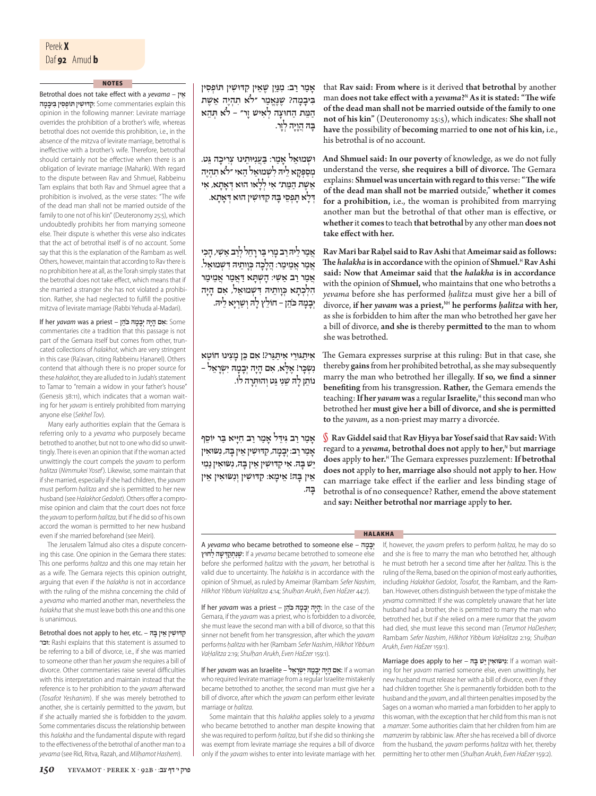# Perek **X** Daf **92** Amud **b**

### **NOTES**

 Betrothal does not take effect with a *yevama* – **איןֵ** this explain commentaries Some : **ִק ּדּו ׁ ִשין ּת ְוֹפ ִסין ִּב ָיבָמה** opinion in the following manner: Levirate marriage overrides the prohibition of a brother's wife, whereas betrothal does not override this prohibition, i.e., in the absence of the mitzva of levirate marriage, betrothal is ineffective with a brother's wife. Therefore, betrothal should certainly not be effective when there is an obligation of levirate marriage (Maharik). With regard to the dispute between Rav and Shmuel, Rabbeinu Tam explains that both Rav and Shmuel agree that a prohibition is involved, as the verse states: "The wife of the dead man shall not be married outside of the family to one not of his kin" (Deuteronomy 25:5), which undoubtedly prohibits her from marrying someone else. Their dispute is whether this verse also indicates that the act of betrothal itself is of no account. Some say that this is the explanation of the Rambam as well. Others, however, maintain that according to Rav there is no prohibition here at all, as the Torah simply states that the betrothal does not take effect, which means that if she married a stranger she has not violated a prohibition. Rather, she had neglected to fulfill the positive mitzva of levirate marriage (Rabbi Yehuda al-Madari).

 Some : **ִאם ָהָיה ְיָבָמ ּה ּכֵֹהן** – priest a was *yavam* her If commentaries cite a tradition that this passage is not part of the Gemara itself but comes from other, truncated collections of *halakhot*, which are very stringent in this case (Ra'avan, citing Rabbeinu Ĥananel). Others contend that although there is no proper source for these *halakhot*, they are alluded to in Judah's statement to Tamar to "remain a widow in your father's house" (Genesis 38:11), which indicates that a woman waiting for her *yavam* is entirely prohibited from marrying anyone else (*Sekhel Tov*).

Many early authorities explain that the Gemara is referring only to a *yevama* who purposely became betrothed to another, but not to one who did so unwittingly. There is even an opinion that if the woman acted unwittingly the court compels the *yavam* to perform *ĥalitza* (*Nimmukei Yosef* ). Likewise, some maintain that if she married, especially if she had children, the *yavam* must perform *ĥalitza* and she is permitted to her new husband (see *Halakhot Gedolot*). Others offer a compromise opinion and claim that the court does not force the *yavam* to perform*ĥalitza*, but if he did so of his own accord the woman is permitted to her new husband even if she married beforehand (see Meiri).

The Jerusalem Talmud also cites a dispute concerning this case. One opinion in the Gemara there states: This one performs *ĥalitza* and this one may retain her as a wife. The Gemara rejects this opinion outright, arguing that even if the *halakha* is not in accordance with the ruling of the mishna concerning the child of a *yevama* who married another man, nevertheless the *halakha* that she must leave both this one and this one is unanimous.

**Betrothal does not apply to her, etc. – קדּוּשִׁין אֵין בַּה וכו׳**: Rashi explains that this statement is assumed to be referring to a bill of divorce, i.e., if she was married to someone other than her *yavam* she requires a bill of divorce. Other commentaries raise several difficulties with this interpretation and maintain instead that the reference is to her prohibition to the *yavam* afterward (*Tosafot Yeshanim*). If she was merely betrothed to another, she is certainly permitted to the *yavam*, but if she actually married she is forbidden to the *yavam*. Some commentaries discuss the relationship between this *halakha* and the fundamental dispute with regard to the effectiveness of the betrothal of another man to a *yevama* (see Rid, Ritva, Razah, and *Milĥamot Hashem*).

**ָאַמרַרב: ִמַּנִין ֶׁשֵאין ִק ּדּו ׁ ִשין ּת ְוֹפ ִסין ִּב ָיבָמה? ֶׁשֶּנֱאַמר ״לֹא ִת ְהֶיה ֵאֶׁשת ַה ֵּמת ַה ּחוָצה ְל ִא ׁיש ָזר״ – לֹא ְּתֵהא ָּב ּה ֲהָוָיה ְלָזר.** 

**ּו ׁ ְש ּמוֵאל ָאַמר: ַּבֲעִנ ּיּוֵת ּ ינו ְצִר ָיכה ֵּגט. ְמַסְּפָקא ֵל ּיה ִל ׁ ְש ּמוֵאל ַהאי ״לֹא ִת ְהֶיה ֵאֶׁשת ַה ֵּמת״ ִאי ְלָלאו ּהוא ְ ּדָאָתא, ִאי ְ ּדָלא ָּתְפֵסי ָּב ּה ִק ּדּו ׁ ִשין ּהוא ְ ּדָאָתא.**

**ֲאַמרֵל ּיהַרב ָמִרי ַּברָרֵחל ְלַרב ַאׁ ִשי, ָה ִכי ּכָו ֵות ּיה ִ ּד ׁ ְש ּמוֵאל. ֲאַמרֲאֵמ ַימר: ֲהָלָכה ְ ֲאַמרַרב ַאׁ ִשי: ָהׁ ְשָּתא ַּדֲאַמר ֲאֵמ ַימר ּכָו ֵות ּיה ִ ּד ׁ ְש ּמוֵאל, ִאם ָהָיה ִה ְל ְכָתא ְ ְיָבָמ ּה ּכֵֹהן – ֵחוֹלץ ָל ּה ְו ַׁשְרָיא ֵל ּיה.** 

**ּכן ָמ ִצ ּ ינו ֵחוֹטא ִא ַּית ּגּוֵרי ִא ַּיתַּגר?! ִאם ֵ ּלא, ִאם ָהָיה ְיָבָמ ּה ִי ְׂשָרֵאל – ּכר! ֶאָ ִנ ְׂשָ ֵ נוֹתן ָל ּה ֵׁשִני ֵּגט ְו ּהו ְּתָרה לוֹ.**

**ָאַמרַרב ִּגֵּידל ָאַמרַרב ִחָיּיא ַּבר ֵ יוֹסף ָאַמרַרב: ְיָבָמה, ִק ּדּו ׁ ִשין ֵאין ָּב ּה, ִנּ ׂשּו ִאין ֵיׁש ָּב ּה. ִאי ִק ּדּו ׁ ִשין ֵאין ָּב ּה, ִנּ ׂשּו ִאין ַנִמי ֵאין ָּב ּה! ֵא ָימא: ִק ּדּו ׁ ִשין ְוִנּ ׂשּו ִאין ֵאין ָּב ּה.** that **Rav said: From where** is it derived **that betrothal** by another man **does not take eff ect with a** *yevama***?**<sup>N</sup>**As it is stated: "Th e wife of the dead man shall not be married outside of the family to one**  not of his kin" (Deuteronomy 25:5), which indicates: She shall not **have** the possibility of **becoming** married **to one not of his kin,** i.e., his betrothal is of no account.

**And Shmuel said: In our poverty** of knowledge, as we do not fully understand the verse, she requires a bill of divorce. The Gemara explains: **Shmuel was uncertain with regard to this** verse: **"Th e wife of the dead man shall not be married** outside," **whether it comes for a prohibition,** i.e., the woman is prohibited from marrying another man but the betrothal of that other man is effective, or **whether** it **comes** to teach **that betrothal** by any other man **does not take eff ect with her.**

**Rav Mari bar Raĥel said to Rav Ashi** that**Ameimar said as follows: Th e** *halakha* **is in accordance** with the opinion of **Shmuel.**<sup>H</sup>**Rav Ashi said: Now that Ameimar said** that **the** *halakha* **is in accordance**  with the opinion of **Shmuel,** who maintains that one who betroths a *yevama* before she has performed *ĥalitza* must give her a bill of divorce, if her *yavam* was a priest,<sup>NH</sup> he performs *halitza* with her, as she is forbidden to him after the man who betrothed her gave her a bill of divorce, and she is thereby permitted to the man to whom she was betrothed.

The Gemara expresses surprise at this ruling: But in that case, she thereby **gains** from her prohibited betrothal, as she may subsequently marry the man who betrothed her illegally. If so, we find a sinner **benefi ting** from his transgression. **Rather,** the Gemara emends the teaching: **If her** *yavam* was a regular **Israelite**,<sup> $H$ </sup> this **second** man who betrothed her must give her a bill of divorce, and she is permitted **to** the *yavam*, as a non-priest may marry a divorcée.

§ **Rav Giddel said** that**Rav Ĥiyya bar Yosef said** that**Rav said:** With regard to a *yevama*, betrothal does not apply to her,<sup>N</sup> but marriage **does** apply **to her.**<sup>H</sup>Th e Gemara expresses puzzlement: **If betrothal does not** apply **to her, marriage also** should **not** apply **to her.** How can marriage take effect if the earlier and less binding stage of betrothal is of no consequence? Rather, emend the above statement and **say: Neither betrothal nor marriage** apply **to her.**

**HALAKHA**

 A *yevama* who became betrothed to someone else – **מהָבָיְ ּנְתַקְ ּד ָׁשה ַל ּחוץ ִשֶׁ** : If a *yevama* became betrothed to someone else before she performed *ĥalitza* with the *yavam*, her betrothal is valid due to uncertainty. The *halakha* is in accordance with the opinion of Shmuel, as ruled by Ameimar (Rambam *Sefer Nashim*, *Hilkhot Yibbum VaĤalitza* 4:14; *Shulĥan Arukh*, *Even HaEzer* 44:7).

 If her *yavam* was a priest – **הןֵֹכּ הּ מָבָיְ יהָהָ**: In the case of the Gemara, if the *yavam* was a priest, who is forbidden to a divorcée, she must leave the second man with a bill of divorce, so that this sinner not benefit from her transgression, after which the *yavam* performs *ĥalitza* with her (Rambam *Sefer Nashim*, *Hilkhot Yibbum VaĤalitza* 2:19; *Shulĥan Arukh*, *Even HaEzer* 159:1).

 woman a If : **ִאם ָהָיה ְיָבָמ ּה ִי ְׂשָרֵאל** – Israelite an was *yavam* her If who required levirate marriage from a regular Israelite mistakenly became betrothed to another, the second man must give her a bill of divorce, after which the *yavam* can perform either levirate marriage or *ĥalitza*.

Some maintain that this *halakha* applies solely to a *yevama* who became betrothed to another man despite knowing that she was required to perform *ĥalitza*, but if she did so thinking she was exempt from levirate marriage she requires a bill of divorce only if the *yavam* wishes to enter into levirate marriage with her. If, however, the *yavam* prefers to perform *ĥalitza*, he may do so and she is free to marry the man who betrothed her, although he must betroth her a second time after her *ĥalitza*. This is the ruling of the Rema, based on the opinion of most early authorities, including *Halakhot Gedolot*, *Tosafot*, the Rambam, and the Ramban. However, others distinguish between the type of mistake the *yevama* committed: If she was completely unaware that her late husband had a brother, she is permitted to marry the man who betrothed her, but if she relied on a mere rumor that the *yavam* had died, she must leave this second man (*Terumot HaDeshen*; Rambam *Sefer Nashim*, *Hilkhot Yibbum VaĤalitza* 2:19; *Shulĥan Arukh*, *Even HaEzer* 159:1).

 Marriage does apply to her – **הּ בָּ שׁיֵ איןִ וּיש ׂ ּ נִ**: If a woman waiting for her *yavam* married someone else, even unwittingly, her new husband must release her with a bill of divorce, even if they had children together. She is permanently forbidden both to the husband and the *yavam*, and all thirteen penalties imposed by the Sages on a woman who married a man forbidden to her apply to this woman, with the exception that her child from this man is not a *mamzer*. Some authorities claim that her children from him are *mamzerim* by rabbinic law. After she has received a bill of divorce from the husband, the *yavam* performs *ĥalitza* with her, thereby permitting her to other men (*Shulĥan Arukh*, *Even HaEzer* 159:2).